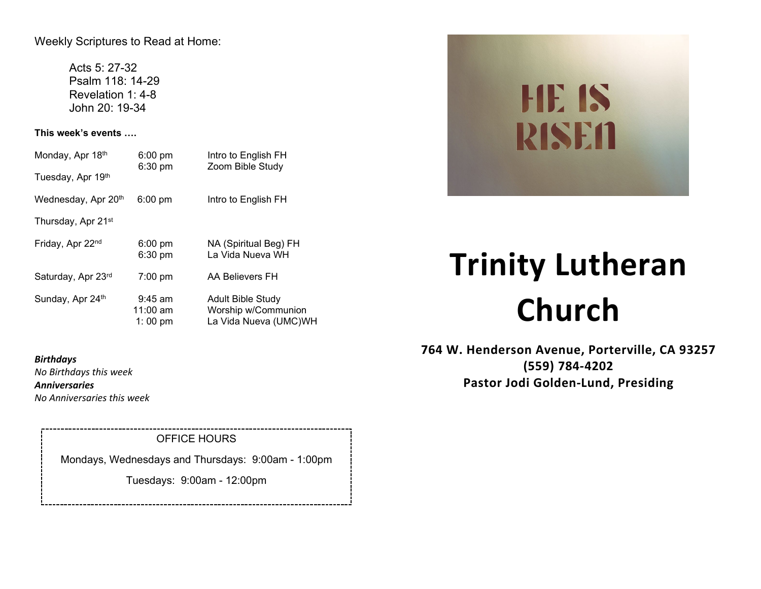Weekly Scriptures to Read at Home:

Acts 5: 27-32 Psalm 118: 14-29 Revelation 1: 4-8 John 20: 19-34

**This week's events ….**

| Monday, Apr 18th<br>Tuesday, Apr 19th | $6:00 \text{ pm}$<br>$6:30 \text{ pm}$ | Intro to English FH<br>Zoom Bible Study                                  |
|---------------------------------------|----------------------------------------|--------------------------------------------------------------------------|
| Wednesday, Apr 20th                   | $6:00 \text{ pm}$                      | Intro to English FH                                                      |
| Thursday, Apr 21 <sup>st</sup>        |                                        |                                                                          |
| Friday, Apr 22nd                      | $6:00 \text{ pm}$<br>6:30 pm           | NA (Spiritual Beg) FH<br>La Vida Nueva WH                                |
| Saturday, Apr 23rd                    | $7:00 \text{ pm}$                      | AA Believers FH                                                          |
| Sunday, Apr 24th                      | $9:45$ am<br>$11:00$ am<br>1:00 pm     | <b>Adult Bible Study</b><br>Worship w/Communion<br>La Vida Nueva (UMC)WH |

# **HE IS RISEN**

## **Trinity Lutheran Church**

**764 W. Henderson Avenue, Porterville, CA 93257 (559) 784-4202 Pastor Jodi Golden-Lund, Presiding**

*Birthdays No Birthdays this week Anniversaries No Anniversaries this week*

OFFICE HOURS

Mondays, Wednesdays and Thursdays: 9:00am - 1:00pm

Tuesdays: 9:00am - 12:00pm